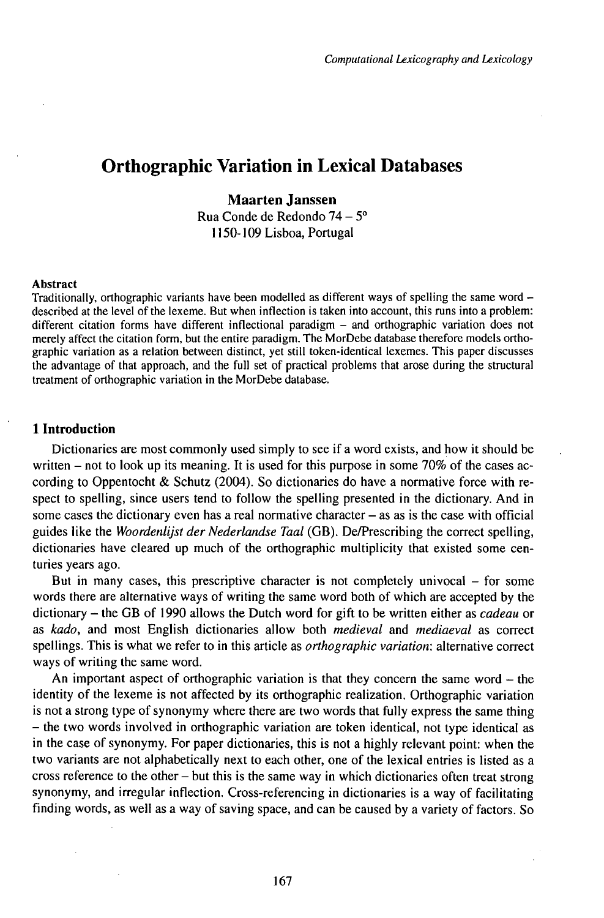# Orthographic Variation in Lexical Databases

# **Maarten Janssen**

Rua Conde de Redondo 74 – 5º 1150-109Lisboa,Portugal

#### Abstract

Traditionally, orthographic variants have been modelled as different ways of spelling the same word described at the level of the lexeme. But when inflection is taken into account, this runs into a problem: different citation forms have different inflectional paradigm - and orthographic variation does not merely affect the citation form, but the entire paradigm. The MorDebe database therefore models orthographic variation as a relation between distinct, yet still token-identical lexemes. This paper discusses the advantage of that approach, and the full set of practical problems that arose during the structural treatment of orthographic variation in the MorDebe database.

# **1 Introduction**

Dictionaries are most commonly used simply to see if a word exists, and how it should be written  $-$  not to look up its meaning. It is used for this purpose in some 70% of the cases according to Oppentocht & Schutz (2004). So dictionaries do have a normative force with respect to spelling, since users tend to follow the spelling presented in the dictionary. And in some cases the dictionary even has a real normative character  $-$  as as is the case with official guides like the *Woordenlijst der Nederlandse Taal* (GB). De/Prescribing the correct spelling, dictionaries have cleared up much of the orthographic multiplicity that existed some centuries years ago.

But in many cases, this prescriptive character is not completely univocal - for some words there are alternative ways of writing the same word both of which are accepted by the dictionary - the GB of <sup>1990</sup> allows the Dutch word for gift to be written either as *cadeau* or as *kado,* and most English dictionaries allow both *medieval* and *mediaeval* as correct spellings. This is what we refer to in this article as *orthographic variation:* alternative correct ways of writing the same word.

An important aspect of orthographic variation is that they concern the same word  $-$  the identity of the lexeme is not affected by its orthographic realization. Orthographic variation is not a strong type of synonymy where there are two words that fully express the same thing - the two words involved in orthographic variation are token identical, not type identical as in the case of synonymy. For paper dictionaries, this is not a highly relevant point: when the two variants are not alphabetically next to each other, one of the lexical entries is listed as a cross reference to the other  $-\text{but this}$  is the same way in which dictionaries often treat strong synonymy, and irregular inflection. Cross-referencing in dictionaries is a way of facilitating finding words, as well as a way of saving space, and can be caused by a variety of factors. So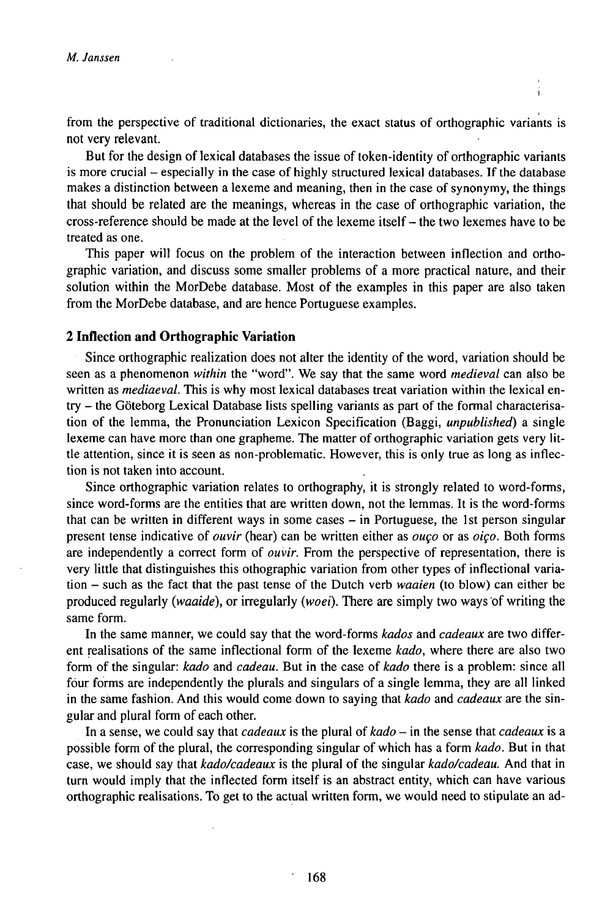from the perspective of traditional dictionaries, the exact status of orthographic variants is not very relevant.

But for the design of lexical databases the issue of token-identity of orthographic variants is more crucial - especially in the case of highly structured lexical databases. If the database makes a distinction between a lexeme and meaning, then in the case of synonymy, the things that should be related are the meanings, whereas in the case of orthographic variation, the cross-reference should be made at the level of the lexeme itself - the two lexemes have to be treated as one.

This paper will focus on the problem of the interaction between inflection and orthographic variation, and discuss some smaller problems of a more practical nature, and their solution within the MorDebe database. Most of the examples in this paper are also taken from the MorDebe database, and are hence Portuguese examples.

# **2 Inflection and Orthographic Variation**

Since orthographic realization does not alter the identity of the word, variation should be seen as a phenomenon *within* the "word". We say that the same word *medieval* can also be written as *mediaeval.* This is why most lexical databases treat variation within the lexical entry – the Göteborg Lexical Database lists spelling variants as part of the formal characterisation of the lemma, the Pronunciation Lexicon Specification (Baggi, *unpublished)* a single lexeme can have more than one grapheme. The matter of orthographic variation gets very little attention, since it is seen as non-problematic. However, this is only true as long as inflection is not taken into account.

Since orthographic variation relates to orthography, it is strongly related to word-forms, since word-forms are the entities that are written down, not the lemmas. It is the word-forms that can be written in different ways in some cases  $-$  in Portuguese, the 1st person singular present tense indicative of *ouvir* (hear) can be written either as *ouço* or as *oiço.* Both forms are independently a correct form of *ouvir.* From the perspective of representation, there is very little that distinguishes this othographic variation from other types of inflectional variation - such as the fact that the past tense of the Dutch verb *waaien* (to blow) can either be produced regularly *{waaide),* or irregularly *{woei).* There are simply two ways of writing the same form.

In the same manner, we could say that the word-forms *kados* and *cadeaux* are two different realisations of the same inflectional form of the lexeme *kado,* where there are also two form of the singular: *kado* and *cadeau.* But in the case of *kado* there is a problem: since all fóur forms are independently the plurals and singulars of a single lemma, they are all linked in the same fashion. And this would come down to saying that *kado* and *cadeaux* are the singular and plural form of each other.

In <sup>a</sup> sense, we could say that *cadeaux* is the plural of *kado* - in the sense that *cadeaux* is <sup>a</sup> possible form of the plural, the corresponding singular of which has a form *kado.* But in that case, we should say that *kado/cadeaux* is the plural of the singular *kado/cadeau.* And that in turn would imply that the inflected form itself is an abstract entity, which can have various orthographic realisations. To get to the actual written form, we would need to stipulate an ad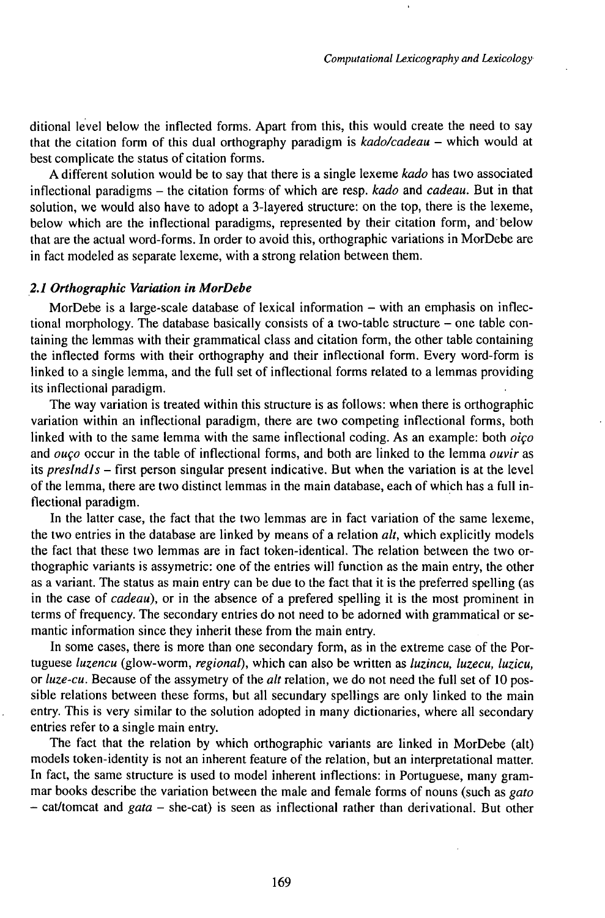ditional level below the inflected forms. Apart from this, this would create the need to say that the citation form of this dual orthography paradigm is *kado/cadeau* - which would at best complicate the status of citation forms.

Adifferent solution would be to say that there is a single lexeme *kado* has two associated inflectional paradigms - the citation forms of which are resp. *kado* and *cadeau.* But in that solution, we would also have to adopt a 3-layered structure: on the top, there is the lexeme, below which are the inflectional paradigms, represented by their citation form, and below that are the actual word-forms. In order to avoid this, orthographic variations in MorDebe are in fact modeled as separate lexeme, with a strong relation between them.

## *2.1 Orthographic Variation in MorDebe*

MorDebe is a large-scale database of lexical information  $-$  with an emphasis on inflectional morphology. The database basically consists of a two-table structure – one table containing the lemmas with their grammatical class and citation form, the other table containing the inflected forms with their orthography and their inflectional form. Every word-form is linked to a single lemma, and the full set of inflectional forms related to a lemmas providing its inflectional paradigm.

The way variation is treated within this structure is as follows: when there is orthographic variation within an inflectional paradigm, there are two competing inflectional forms, both linked with to the same lemma with the same inflectional coding. As an example: both *oiço* and *ouço* occur in the table of inflectional forms, and both are linked to the lemma *ouvir* as its *presIndJs -* first person singular present indicative. But when the variation is at the level of the lemma, there are two distinct lemmas in the main database, each of which has a full inflectional paradigm.

In the latter case, the fact that the two lemmas are in fact variation of the same lexeme, the two entries in the database are linked by means of a relation *alt,* which explicitly models the fact that these two lemmas are in fact token-identical. The relation between the two orthographic variants is assymetric: one of the entries will function as the main entry, the other as a variant. The status as main entry can be due to the fact that it is the preferred spelling (as in the case of *cadeau),* or in the absence of a prefered spelling it is the most prominent in terms of frequency. The secondary entries do not need to be adorned with grammatical or semantic information since they inherit these from the main entry.

In some cases, there is more than one secondary form, as in the extreme case of the Portuguese *luzencu* (glow-worm, *regional),* which can also be written as *luzincu, luzecu, luzicu,* or *luze-cu.* Because of the assymetry of the *alt* relation, we do not need the full set of 10 possible relations between these forms, but all secundary spellings are only linked to the main entry. This is very similar to the solution adopted in many dictionaries, where all secondary entries refer to a single main entry.

The fact that the relation by which orthographic variants are linked in MorDebe (alt) models token-identity is not an inherent feature of the relation, but an interpretational matter. In fact, the same structure is used to model inherent inflections: in Portuguese, many grammar books describe the variation between the male and female forms of nouns (such as *gato* - cat/tomcat and *gata* - she-cat) is seen as inflectional rather than derivational. But other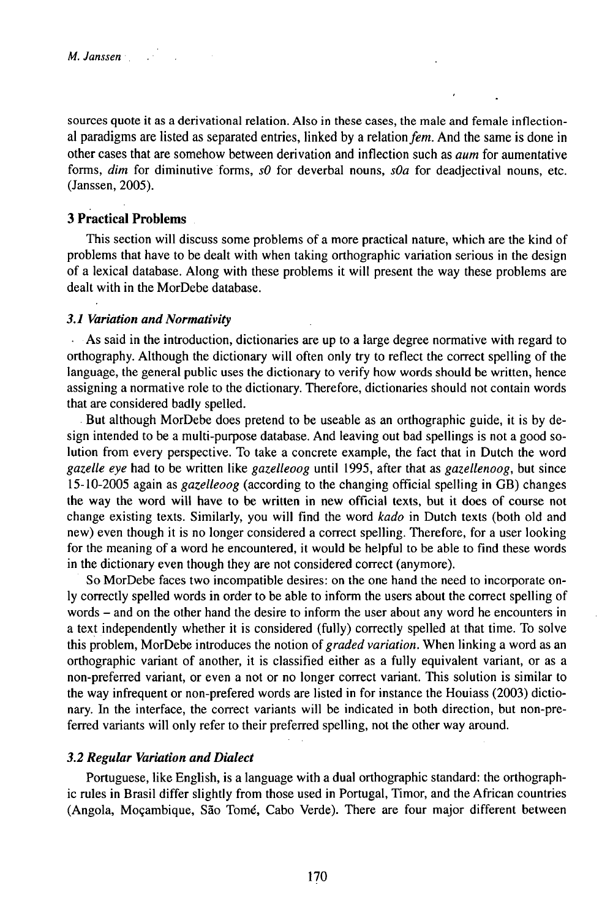sources quote it as a derivational relation. Also in these cases, the male and female inflectional paradigms are listed as separated entries, linked by a relation fem. And the same is done in other cases that are somehow between derivation and inflection such as *aum* for aumentative forms, *dim* for diminutive forms, *s0* for deverbal nouns, *sOa* for deadjectival nouns, etc. (Janssen, 2005).

# **3 Practical Problems**

This section will discuss some problems of a more practical nature, which are the kind of problems that have to be dealt with when taking orthographic variation serious in the design of a lexical database. Along with these problems it will present the way these problems are dealt with in the MorDebe database.

#### *3.1VariationandNormativity*

As said in the introduction, dictionaries are up to a large degree normative with regard to orthography. Although the dictionary will often only try to reflect the correct spelling of the language, the general public uses the dictionary to verify how words should be written, hence assigning a normative role to the dictionary. Therefore, dictionaries should not contain words that are considered badly spelled.

But although MorDebe does pretend to be useable as an orthographic guide, it is by design intended to be a multi-purpose database. And leaving out bad spellings is not a good solution from every perspective. To take a concrete example, the fact that in Dutch the word *gazelle eye* had to be written like *gazelleoog* until 1995, after that as *gazellenoog,* but since 15-10-2005 again as *gazelleoog* (according to the changing official spelling in GB) changes the way the word will have to be written in new official texts, but it does of course not change existing texts. Similarly, you will find the word *kado* in Dutch texts (both old and new) even though it is no longer considered a correct spelling. Therefore, for a user looking for the meaning of a word he encountered, it would be helpful to be able to find these words in the dictionary even though they are not considered correct (anymore).

So MorDebe faces two incompatible desires: on the one hand the need to incorporate only correctly spelled words in order to be able to inform the users about the correct spelling of words – and on the other hand the desire to inform the user about any word he encounters in a text independently whether it is considered (fully) correctly spelled at that time. To solve this problem, MorDebe introduces the notion *oigraded variation.* When linking a word as an orthographic variant of another, it is classified either as a fully equivalent variant, or as a non-preferred variant, or even a not or no longer correct variant. This solution is similar to the way infrequent or non-prefered words are listed in for instance the Houiass (2003) dictionary. In the interface, the correct variants will be indicated in both direction, but non-preferred variants will only refer to their preferred spelling, not the other way around.

## *3.2 ReguUir Variation and Dialect*

Portuguese, like English, is a language with a dual orthographic standard: the orthographic rules in Brasil differ slightly from those used in Portugal, Timor, and the African countries (Angola, Moçambique, Säo Tomé, Cabo Verde). There are four major different between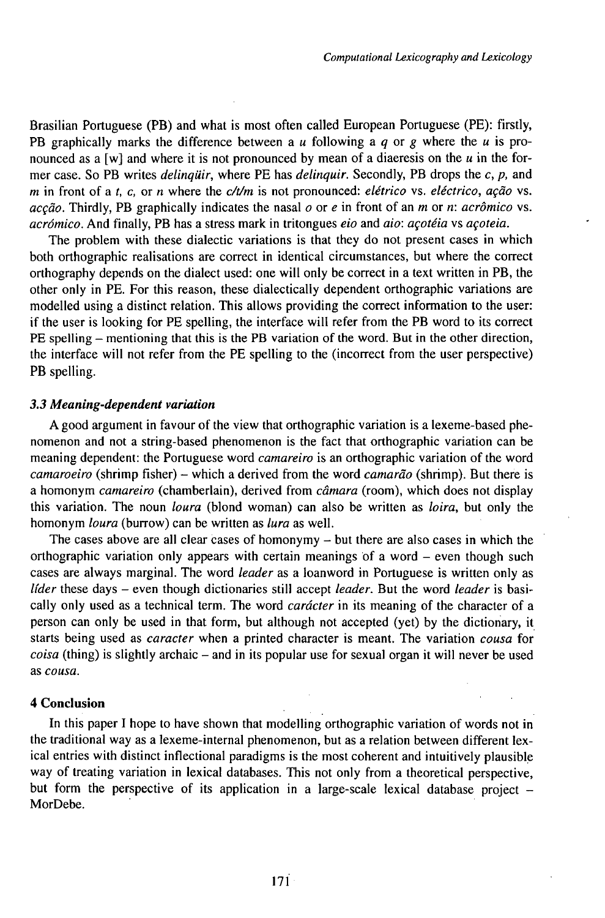Brasilian Portuguese (PB) and what is most often called European Portuguese (PE): firstly, PB graphically marks the difference between a *u* following a *q* or *g* where the *u* is pronounced as a [w] and where it is not pronounced by mean of a diaeresis on the  $u$  in the former case. So PB writes *delinquir,* where PE has *delinquir.* Secondly, PB drops the *c, p,* and *m* in front of a f, c, or n where the *c/t/m* is not pronounced: *elétrico* vs. *eléctrico, açâo* vs. *acçào.* Thirdly, PB graphically indicates the nasal *o* or *e* in front of an *m* or *n: acròmico* vs. *acrómico.* And finally, PB has a stress mark in tritongues *eio* and *aio: açotéia* vs *açoteia.*

The problem with these dialectic variations is that they do not present cases in which both orthographic realisations are correct in identical circumstances, but where the correct orthography depends on the dialect used: one will only be correct in a text written in PB, the other only in PE. For this reason, these dialectically dependent orthographic variations are modelled using a distinct relation. This allows providing the correct information to the user: if the user is looking for PE spelling, the interface will refer from the PB word to its correct PE spelling – mentioning that this is the PB variation of the word. But in the other direction, the interface will not refer from the PE spelling to the (incorrect from the user perspective) PB spelling.

#### *3.3 Meaning-dependent variation*

A good argument in favour of the view that orthographic variation is a lexeme-based phenomenon and not a string-based phenomenon is the fact that orthographic variation can be meaning dependent: the Portuguese word *camareiro* is an orthographic variation ofthe word *camaroeiro* (shrimp fisher) - which <sup>a</sup> derived from the word *camaräo* (shrimp). But there is a homonym *camareiro* (chamberlain), derived from *câmara* (room), which does not display this variation. The noun *loura* (blond woman) can also be written as *loira,* but only the homonym *loura* (burrow) can be written as *lura* as well.

The cases above are all clear cases of homonymy  $-$  but there are also cases in which the orthographic variation only appears with certain meanings of a word  $-$  even though such cases are always marginal. The word *leader* as a loanword in Portuguese is written only as *líder* these days – even though dictionaries still accept *leader*. But the word *leader* is basically only used as a technical term. The word *carácter* in its meaning of the character of a person can only be used in that form, but although not accepted (yet) by the dictionary, it starts being used as *caracter* when a printed character is meant. The variation *cousa* for *coisa* (thing) is slightly archaic – and in its popular use for sexual organ it will never be used as *cousa.*

#### **4 Conclusion**

In this paper I hope to have shown that modelling orthographic variation of words not in the traditional way as a lexeme-internal phenomenon, but as a relation between different lexical entries with distinct inflectional paradigms is the most coherent and intuitively plausible way of treating variation in lexical databases. This not only from a theoretical perspective, but form the perspective of its application in a large-scale lexical database project  $-$ MorDebe.